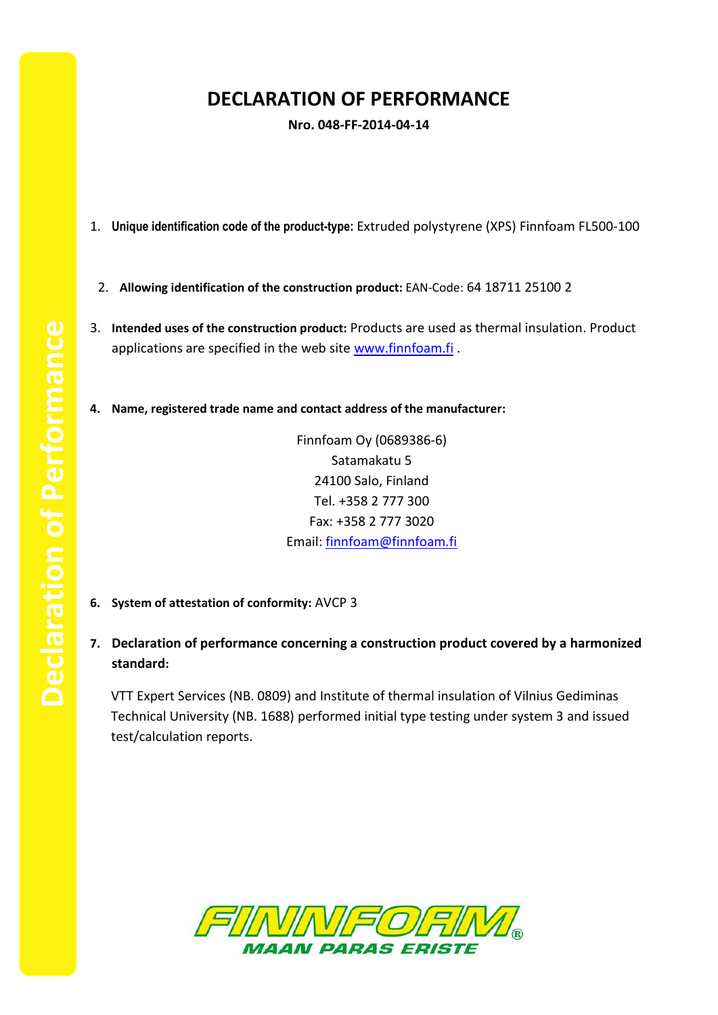## **DECLARATION OF PERFORMANCE**

**Nro. 048-FF-2014-04-14**

- 1. **Unique identification code of the product-type:** Extruded polystyrene (XPS) Finnfoam FL500-100
	- 2. **Allowing identification of the construction product:** EAN-Code: 64 18711 25100 2
- 3. **Intended uses of the construction product:** Products are used as thermal insulation. Product applications are specified in the web site [www.finnfoam.fi](http://www.finnfoam.fi/).
- **4. Name, registered trade name and contact address of the manufacturer:**

Finnfoam Oy (0689386-6) Satamakatu 5 24100 Salo, Finland Tel. +358 2 777 300 Fax: +358 2 777 3020 Email: [finnfoam@finnfoam.fi](mailto:finnfoam@finnfoam.fi)

- **6. System of attestation of conformity:** AVCP 3
- **7. Declaration of performance concerning a construction product covered by a harmonized standard:**

VTT Expert Services (NB. 0809) and Institute of thermal insulation of Vilnius Gediminas Technical University (NB. 1688) performed initial type testing under system 3 and issued test/calculation reports.